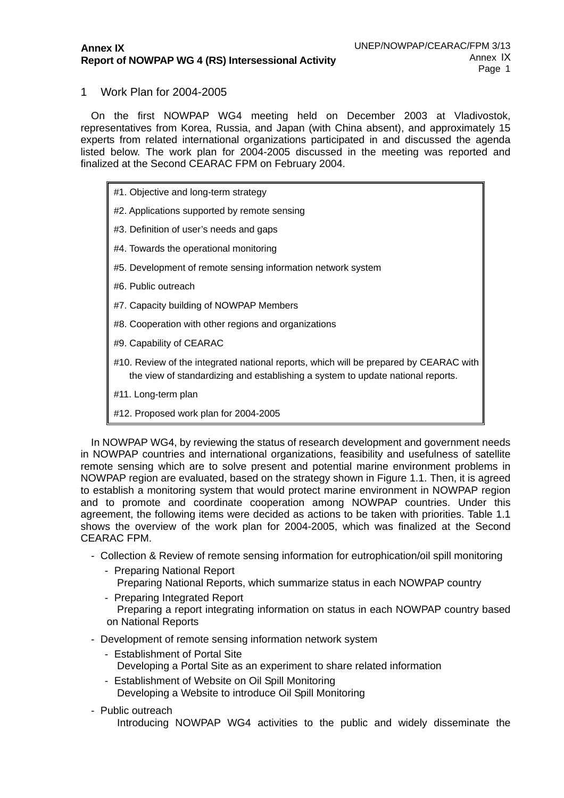## 1 Work Plan for 2004-2005

On the first NOWPAP WG4 meeting held on December 2003 at Vladivostok, representatives from Korea, Russia, and Japan (with China absent), and approximately 15 experts from related international organizations participated in and discussed the agenda listed below. The work plan for 2004-2005 discussed in the meeting was reported and finalized at the Second CEARAC FPM on February 2004.

- #1. Objective and long-term strategy
- #2. Applications supported by remote sensing
- #3. Definition of user's needs and gaps
- #4. Towards the operational monitoring
- #5. Development of remote sensing information network system
- #6. Public outreach
- #7. Capacity building of NOWPAP Members
- #8. Cooperation with other regions and organizations
- #9. Capability of CEARAC
- #10. Review of the integrated national reports, which will be prepared by CEARAC with the view of standardizing and establishing a system to update national reports.
- #11. Long-term plan
- #12. Proposed work plan for 2004-2005

In NOWPAP WG4, by reviewing the status of research development and government needs in NOWPAP countries and international organizations, feasibility and usefulness of satellite remote sensing which are to solve present and potential marine environment problems in NOWPAP region are evaluated, based on the strategy shown in Figure 1.1. Then, it is agreed to establish a monitoring system that would protect marine environment in NOWPAP region and to promote and coordinate cooperation among NOWPAP countries. Under this agreement, the following items were decided as actions to be taken with priorities. Table 1.1 shows the overview of the work plan for 2004-2005, which was finalized at the Second CEARAC FPM.

- Collection & Review of remote sensing information for eutrophication/oil spill monitoring
	- Preparing National Report Preparing National Reports, which summarize status in each NOWPAP country
	- Preparing Integrated Report Preparing a report integrating information on status in each NOWPAP country based on National Reports
- Development of remote sensing information network system
	- Establishment of Portal Site Developing a Portal Site as an experiment to share related information
	- Establishment of Website on Oil Spill Monitoring Developing a Website to introduce Oil Spill Monitoring
- Public outreach

Introducing NOWPAP WG4 activities to the public and widely disseminate the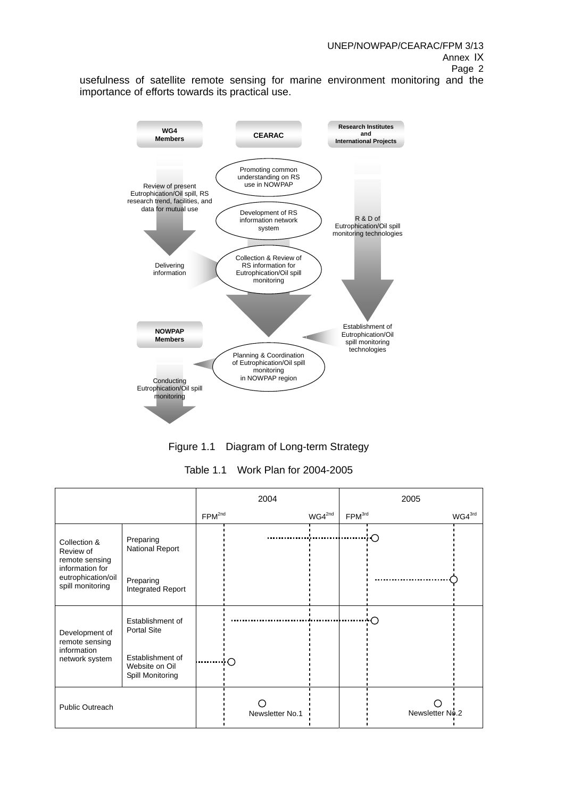usefulness of satellite remote sensing for marine environment monitoring and the importance of efforts towards its practical use.



Figure 1.1 Diagram of Long-term Strategy

Table 1.1 Work Plan for 2004-2005

|                                                                                                          |                                                        | 2004               |                 |             | 2005               |                    |  |
|----------------------------------------------------------------------------------------------------------|--------------------------------------------------------|--------------------|-----------------|-------------|--------------------|--------------------|--|
|                                                                                                          |                                                        | FPM <sup>2nd</sup> |                 | $WG4^{2nd}$ | FPM <sup>3rd</sup> | WG4 <sup>3rd</sup> |  |
| Collection &<br>Review of<br>remote sensing<br>information for<br>eutrophication/oil<br>spill monitoring | Preparing<br>National Report                           |                    |                 |             |                    | ∘∩                 |  |
|                                                                                                          | Preparing<br>Integrated Report                         |                    |                 |             |                    |                    |  |
| Development of<br>remote sensing<br>information<br>network system                                        | Establishment of<br><b>Portal Site</b>                 |                    |                 |             |                    | ◯                  |  |
|                                                                                                          | Establishment of<br>Website on Oil<br>Spill Monitoring |                    | ŀΟ              |             |                    |                    |  |
| <b>Public Outreach</b>                                                                                   |                                                        |                    | Newsletter No.1 |             |                    | Newsletter No.2    |  |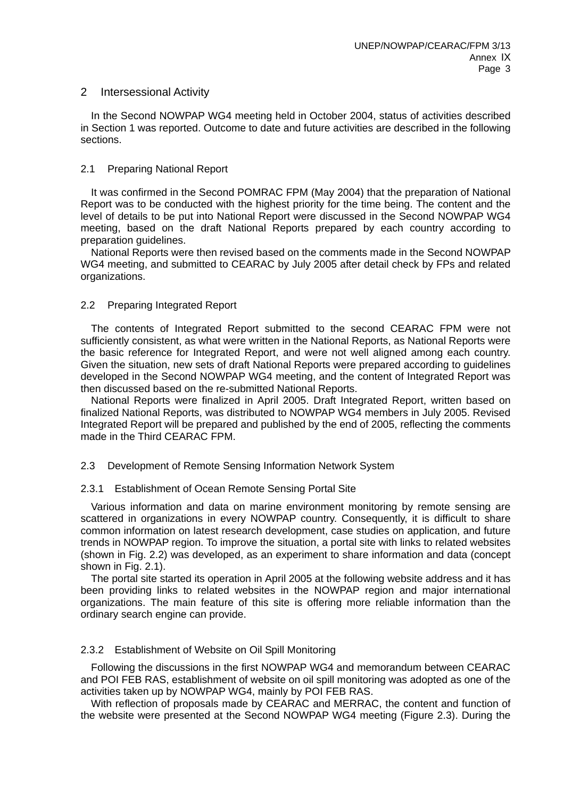## 2 Intersessional Activity

In the Second NOWPAP WG4 meeting held in October 2004, status of activities described in Section 1 was reported. Outcome to date and future activities are described in the following sections.

## 2.1 Preparing National Report

It was confirmed in the Second POMRAC FPM (May 2004) that the preparation of National Report was to be conducted with the highest priority for the time being. The content and the level of details to be put into National Report were discussed in the Second NOWPAP WG4 meeting, based on the draft National Reports prepared by each country according to preparation guidelines.

National Reports were then revised based on the comments made in the Second NOWPAP WG4 meeting, and submitted to CEARAC by July 2005 after detail check by FPs and related organizations.

## 2.2 Preparing Integrated Report

The contents of Integrated Report submitted to the second CEARAC FPM were not sufficiently consistent, as what were written in the National Reports, as National Reports were the basic reference for Integrated Report, and were not well aligned among each country. Given the situation, new sets of draft National Reports were prepared according to guidelines developed in the Second NOWPAP WG4 meeting, and the content of Integrated Report was then discussed based on the re-submitted National Reports.

National Reports were finalized in April 2005. Draft Integrated Report, written based on finalized National Reports, was distributed to NOWPAP WG4 members in July 2005. Revised Integrated Report will be prepared and published by the end of 2005, reflecting the comments made in the Third CEARAC FPM.

#### 2.3 Development of Remote Sensing Information Network System

#### 2.3.1 Establishment of Ocean Remote Sensing Portal Site

Various information and data on marine environment monitoring by remote sensing are scattered in organizations in every NOWPAP country. Consequently, it is difficult to share common information on latest research development, case studies on application, and future trends in NOWPAP region. To improve the situation, a portal site with links to related websites (shown in Fig. 2.2) was developed, as an experiment to share information and data (concept shown in Fig. 2.1).

The portal site started its operation in April 2005 at the following website address and it has been providing links to related websites in the NOWPAP region and major international organizations. The main feature of this site is offering more reliable information than the ordinary search engine can provide.

#### 2.3.2 Establishment of Website on Oil Spill Monitoring

Following the discussions in the first NOWPAP WG4 and memorandum between CEARAC and POI FEB RAS, establishment of website on oil spill monitoring was adopted as one of the activities taken up by NOWPAP WG4, mainly by POI FEB RAS.

With reflection of proposals made by CEARAC and MERRAC, the content and function of the website were presented at the Second NOWPAP WG4 meeting (Figure 2.3). During the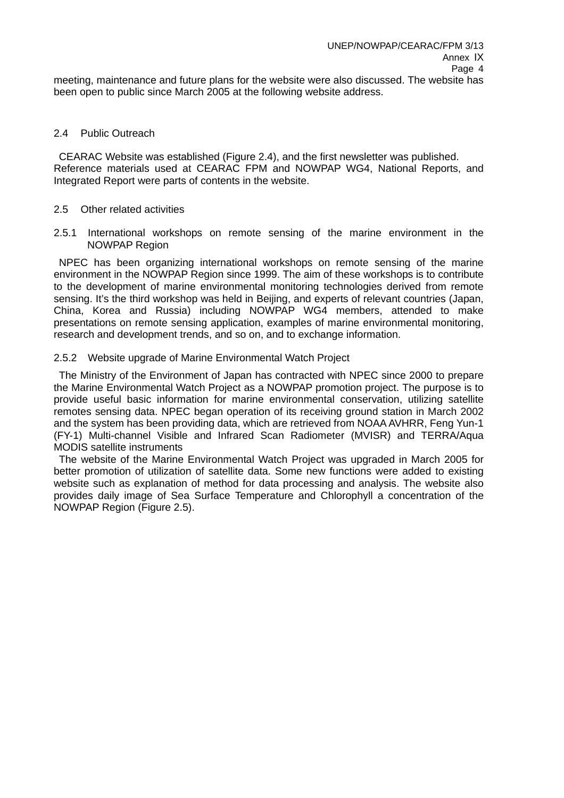meeting, maintenance and future plans for the website were also discussed. The website has been open to public since March 2005 at the following website address.

### 2.4 Public Outreach

 CEARAC Website was established (Figure 2.4), and the first newsletter was published. Reference materials used at CEARAC FPM and NOWPAP WG4, National Reports, and Integrated Report were parts of contents in the website.

## 2.5 Other related activities

2.5.1 International workshops on remote sensing of the marine environment in the NOWPAP Region

 NPEC has been organizing international workshops on remote sensing of the marine environment in the NOWPAP Region since 1999. The aim of these workshops is to contribute to the development of marine environmental monitoring technologies derived from remote sensing. It's the third workshop was held in Beijing, and experts of relevant countries (Japan, China, Korea and Russia) including NOWPAP WG4 members, attended to make presentations on remote sensing application, examples of marine environmental monitoring, research and development trends, and so on, and to exchange information.

## 2.5.2 Website upgrade of Marine Environmental Watch Project

 The Ministry of the Environment of Japan has contracted with NPEC since 2000 to prepare the Marine Environmental Watch Project as a NOWPAP promotion project. The purpose is to provide useful basic information for marine environmental conservation, utilizing satellite remotes sensing data. NPEC began operation of its receiving ground station in March 2002 and the system has been providing data, which are retrieved from NOAA AVHRR, Feng Yun-1 (FY-1) Multi-channel Visible and Infrared Scan Radiometer (MVISR) and TERRA/Aqua MODIS satellite instruments

 The website of the Marine Environmental Watch Project was upgraded in March 2005 for better promotion of utilization of satellite data. Some new functions were added to existing website such as explanation of method for data processing and analysis. The website also provides daily image of Sea Surface Temperature and Chlorophyll a concentration of the NOWPAP Region (Figure 2.5).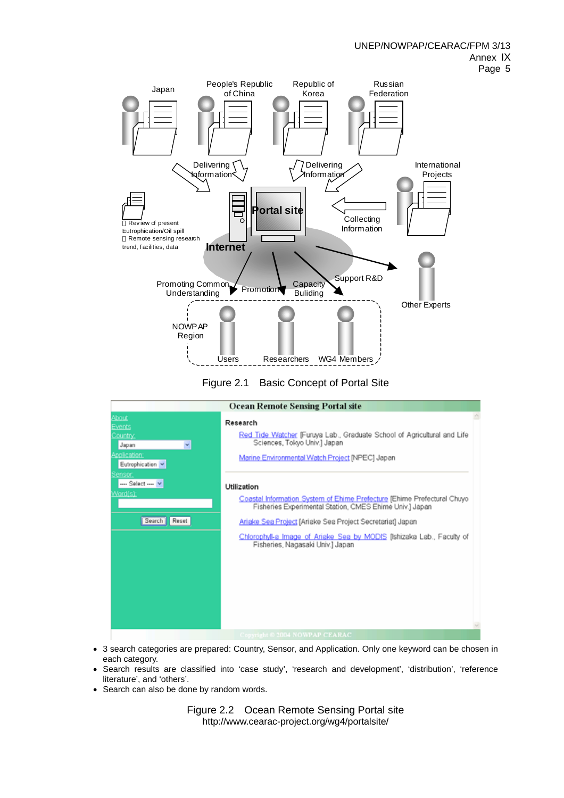





- 3 search categories are prepared: Country, Sensor, and Application. Only one keyword can be chosen in each category.
- Search results are classified into 'case study', 'research and development', 'distribution', 'reference literature', and 'others'.
- Search can also be done by random words.

Figure 2.2 Ocean Remote Sensing Portal site http://www.cearac-project.org/wg4/portalsite/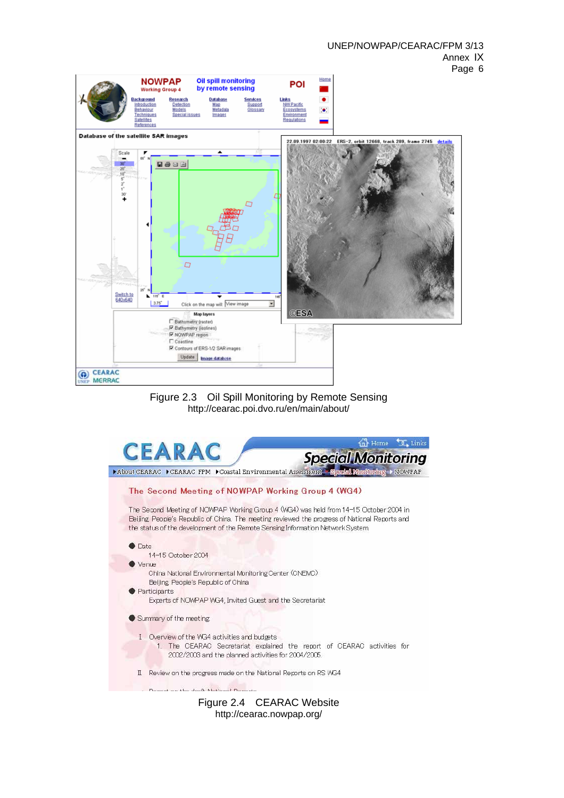



http://cearac.nowpap.org/